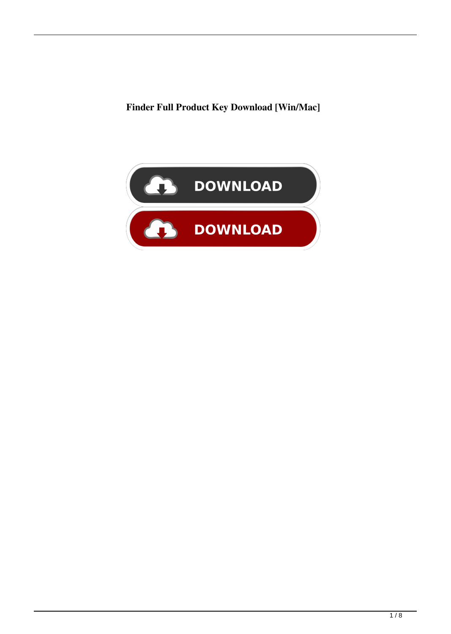**Finder Full Product Key Download [Win/Mac]**

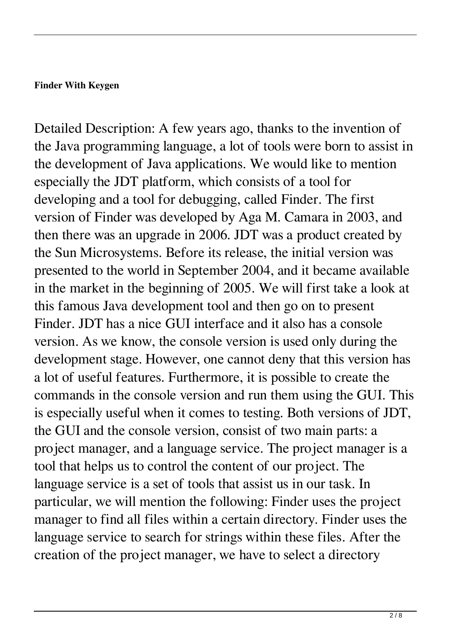#### **Finder With Keygen**

Detailed Description: A few years ago, thanks to the invention of the Java programming language, a lot of tools were born to assist in the development of Java applications. We would like to mention especially the JDT platform, which consists of a tool for developing and a tool for debugging, called Finder. The first version of Finder was developed by Aga M. Camara in 2003, and then there was an upgrade in 2006. JDT was a product created by the Sun Microsystems. Before its release, the initial version was presented to the world in September 2004, and it became available in the market in the beginning of 2005. We will first take a look at this famous Java development tool and then go on to present Finder. JDT has a nice GUI interface and it also has a console version. As we know, the console version is used only during the development stage. However, one cannot deny that this version has a lot of useful features. Furthermore, it is possible to create the commands in the console version and run them using the GUI. This is especially useful when it comes to testing. Both versions of JDT, the GUI and the console version, consist of two main parts: a project manager, and a language service. The project manager is a tool that helps us to control the content of our project. The language service is a set of tools that assist us in our task. In particular, we will mention the following: Finder uses the project manager to find all files within a certain directory. Finder uses the language service to search for strings within these files. After the creation of the project manager, we have to select a directory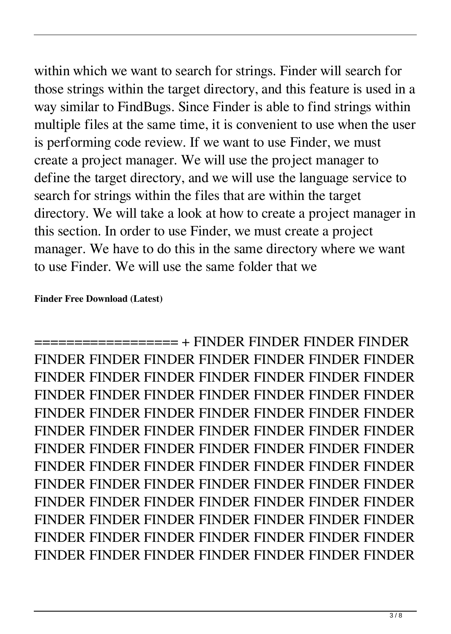within which we want to search for strings. Finder will search for those strings within the target directory, and this feature is used in a way similar to FindBugs. Since Finder is able to find strings within multiple files at the same time, it is convenient to use when the user is performing code review. If we want to use Finder, we must create a project manager. We will use the project manager to define the target directory, and we will use the language service to search for strings within the files that are within the target directory. We will take a look at how to create a project manager in this section. In order to use Finder, we must create a project manager. We have to do this in the same directory where we want to use Finder. We will use the same folder that we

### **Finder Free Download (Latest)**

================== + FINDER FINDER FINDER FINDER FINDER FINDER FINDER FINDER FINDER FINDER FINDER FINDER FINDER FINDER FINDER FINDER FINDER FINDER FINDER FINDER FINDER FINDER FINDER FINDER FINDER FINDER FINDER FINDER FINDER FINDER FINDER FINDER FINDER FINDER FINDER FINDER FINDER FINDER FINDER FINDER FINDER FINDER FINDER FINDER FINDER FINDER FINDER FINDER FINDER FINDER FINDER FINDER FINDER FINDER FINDER FINDER FINDER FINDER FINDER FINDER FINDER FINDER FINDER FINDER FINDER FINDER FINDER FINDER FINDER FINDER FINDER FINDER FINDER FINDER FINDER FINDER FINDER FINDER FINDER FINDER FINDER FINDER FINDER FINDER FINDER FINDER FINDER FINDER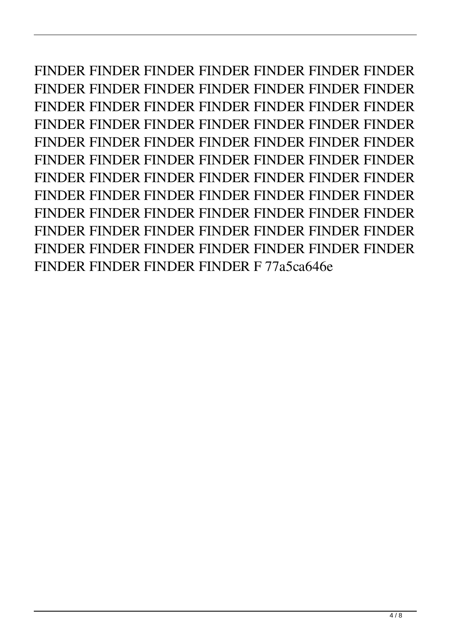FINDER FINDER FINDER FINDER FINDER FINDER FINDER FINDER FINDER FINDER FINDER FINDER FINDER FINDER FINDER FINDER FINDER FINDER FINDER FINDER FINDER FINDER FINDER FINDER FINDER FINDER FINDER FINDER FINDER FINDER FINDER FINDER FINDER FINDER FINDER FINDER FINDER FINDER FINDER FINDER FINDER FINDER FINDER FINDER FINDER FINDER FINDER FINDER FINDER FINDER FINDER FINDER FINDER FINDER FINDER FINDER FINDER FINDER FINDER FINDER FINDER FINDER FINDER FINDER FINDER FINDER FINDER FINDER FINDER FINDER FINDER FINDER FINDER FINDER FINDER FINDER FINDER FINDER FINDER FINDER FINDER F 77a5ca646e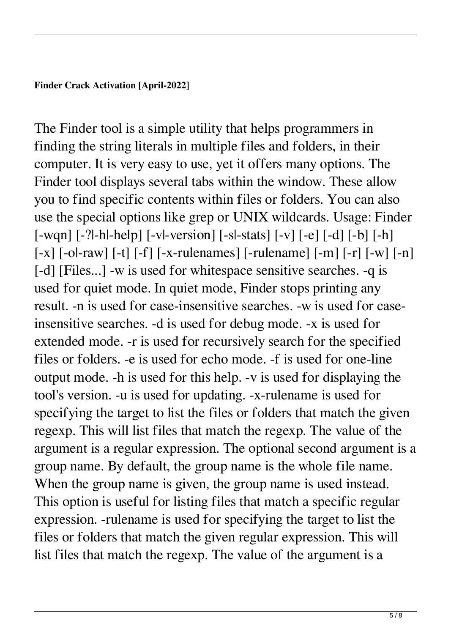#### **Finder Crack Activation [April-2022]**

The Finder tool is a simple utility that helps programmers in finding the string literals in multiple files and folders, in their computer. It is very easy to use, yet it offers many options. The Finder tool displays several tabs within the window. These allow you to find specific contents within files or folders. You can also use the special options like grep or UNIX wildcards. Usage: Finder [-wqn] [-?|-h|-help] [-v|-version] [-s|-stats] [-v] [-e] [-d] [-b] [-h]  $[-x]$   $[-b]$   $[-c]$   $[-f]$   $[-x]$   $[-x]$   $[-x]$   $[-x]$   $[-m]$   $[-r]$   $[-w]$   $[-n]$ [-d] [Files...] -w is used for whitespace sensitive searches. -q is used for quiet mode. In quiet mode, Finder stops printing any result. -n is used for case-insensitive searches. -w is used for caseinsensitive searches. -d is used for debug mode. -x is used for extended mode. -r is used for recursively search for the specified files or folders. -e is used for echo mode. -f is used for one-line output mode. -h is used for this help. -v is used for displaying the tool's version. -u is used for updating. -x-rulename is used for specifying the target to list the files or folders that match the given regexp. This will list files that match the regexp. The value of the argument is a regular expression. The optional second argument is a group name. By default, the group name is the whole file name. When the group name is given, the group name is used instead. This option is useful for listing files that match a specific regular expression. -rulename is used for specifying the target to list the files or folders that match the given regular expression. This will list files that match the regexp. The value of the argument is a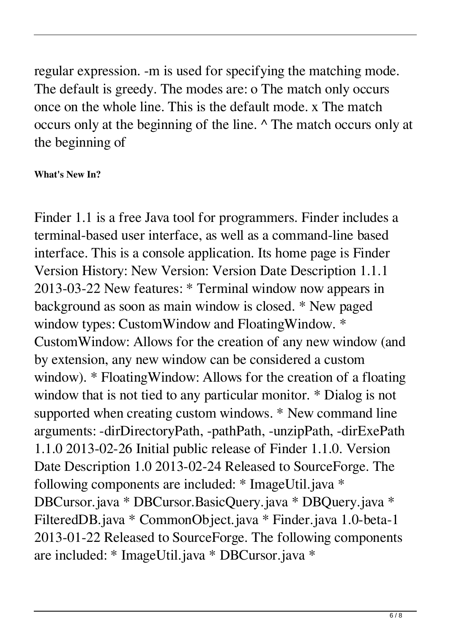regular expression. -m is used for specifying the matching mode. The default is greedy. The modes are: o The match only occurs once on the whole line. This is the default mode. x The match occurs only at the beginning of the line. ^ The match occurs only at the beginning of

## **What's New In?**

Finder 1.1 is a free Java tool for programmers. Finder includes a terminal-based user interface, as well as a command-line based interface. This is a console application. Its home page is Finder Version History: New Version: Version Date Description 1.1.1 2013-03-22 New features: \* Terminal window now appears in background as soon as main window is closed. \* New paged window types: CustomWindow and FloatingWindow. \* CustomWindow: Allows for the creation of any new window (and by extension, any new window can be considered a custom window). \* FloatingWindow: Allows for the creation of a floating window that is not tied to any particular monitor. \* Dialog is not supported when creating custom windows. \* New command line arguments: -dirDirectoryPath, -pathPath, -unzipPath, -dirExePath 1.1.0 2013-02-26 Initial public release of Finder 1.1.0. Version Date Description 1.0 2013-02-24 Released to SourceForge. The following components are included: \* ImageUtil.java \* DBCursor.java \* DBCursor.BasicQuery.java \* DBQuery.java \* FilteredDB.java \* CommonObject.java \* Finder.java 1.0-beta-1 2013-01-22 Released to SourceForge. The following components are included: \* ImageUtil.java \* DBCursor.java \*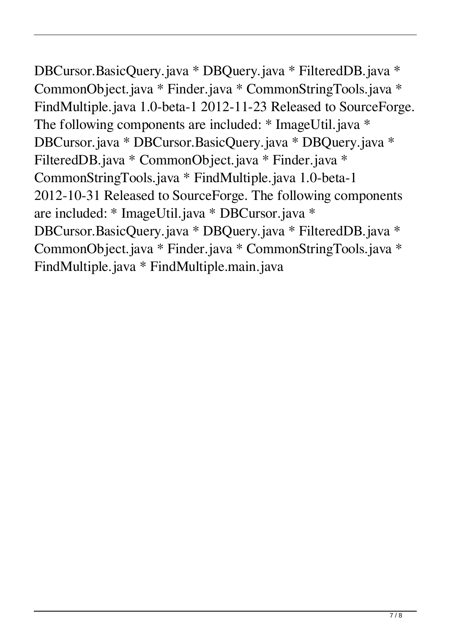# DBCursor.BasicQuery.java \* DBQuery.java \* FilteredDB.java \* CommonObject.java \* Finder.java \* CommonStringTools.java \* FindMultiple.java 1.0-beta-1 2012-11-23 Released to SourceForge. The following components are included: \* ImageUtil.java \* DBCursor.java \* DBCursor.BasicQuery.java \* DBQuery.java \* FilteredDB.java \* CommonObject.java \* Finder.java \* CommonStringTools.java \* FindMultiple.java 1.0-beta-1 2012-10-31 Released to SourceForge. The following components are included: \* ImageUtil.java \* DBCursor.java \*

DBCursor.BasicQuery.java \* DBQuery.java \* FilteredDB.java \* CommonObject.java \* Finder.java \* CommonStringTools.java \* FindMultiple.java \* FindMultiple.main.java